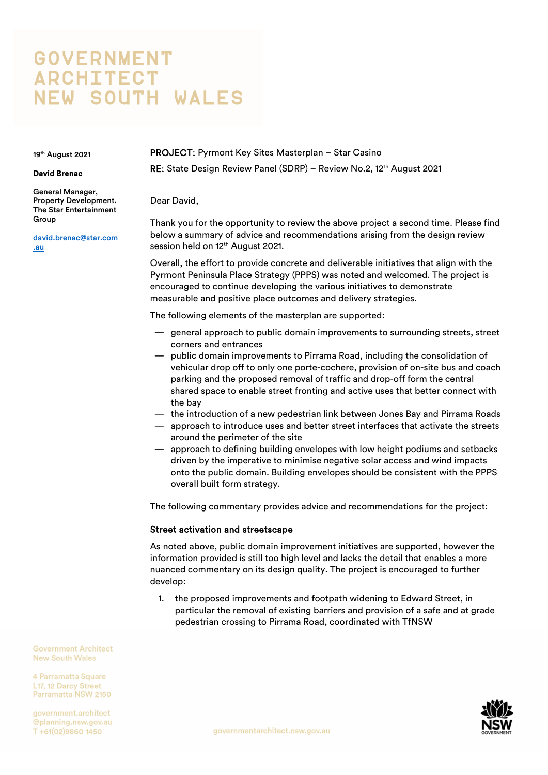# **GOVERNMENT ARCHITECT NEW SOUTH WALES**

19th August 2021

#### David Brenac

General Manager, Property Development. The Star Entertainment Group

david.brenac@star.com .au

PROJECT: Pyrmont Key Sites Masterplan – Star Casino RE: State Design Review Panel (SDRP) – Review No.2, 12<sup>th</sup> August 2021

Dear David,

Thank you for the opportunity to review the above project a second time. Please find below a summary of advice and recommendations arising from the design review session held on 12<sup>th</sup> August 2021.

Overall, the effort to provide concrete and deliverable initiatives that align with the Pyrmont Peninsula Place Strategy (PPPS) was noted and welcomed. The project is encouraged to continue developing the various initiatives to demonstrate measurable and positive place outcomes and delivery strategies.

The following elements of the masterplan are supported:

- general approach to public domain improvements to surrounding streets, street corners and entrances
- public domain improvements to Pirrama Road, including the consolidation of vehicular drop off to only one porte-cochere, provision of on-site bus and coach parking and the proposed removal of traffic and drop-off form the central shared space to enable street fronting and active uses that better connect with the bay
- the introduction of a new pedestrian link between Jones Bay and Pirrama Roads
- approach to introduce uses and better street interfaces that activate the streets around the perimeter of the site
- approach to defining building envelopes with low height podiums and setbacks driven by the imperative to minimise negative solar access and wind impacts onto the public domain. Building envelopes should be consistent with the PPPS overall built form strategy.

The following commentary provides advice and recommendations for the project:

## Street activation and streetscape

As noted above, public domain improvement initiatives are supported, however the information provided is still too high level and lacks the detail that enables a more nuanced commentary on its design quality. The project is encouraged to further develop:

1. the proposed improvements and footpath widening to Edward Street, in particular the removal of existing barriers and provision of a safe and at grade pedestrian crossing to Pirrama Road, coordinated with TfNSW

**Government Architect New South Wales** 

4 Parramatta Square 117 12 Darcy Street Parramatta NSW 2150

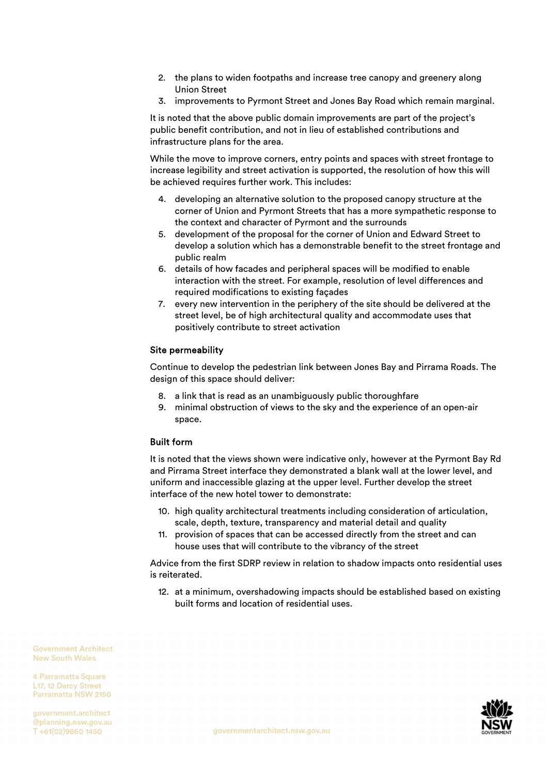- 2. the plans to widen footpaths and increase tree canopy and greenery along Union Street
- 3. improvements to Pyrmont Street and Jones Bay Road which remain marginal.

It is noted that the above public domain improvements are part of the project's public benefit contribution, and not in lieu of established contributions and infrastructure plans for the area.

While the move to improve corners, entry points and spaces with street frontage to increase legibility and street activation is supported, the resolution of how this will be achieved requires further work. This includes:

- 4. developing an alternative solution to the proposed canopy structure at the corner of Union and Pyrmont Streets that has a more sympathetic response to the context and character of Pyrmont and the surrounds
- 5. development of the proposal for the corner of Union and Edward Street to develop a solution which has a demonstrable benefit to the street frontage and public realm
- 6. details of how facades and peripheral spaces will be modified to enable interaction with the street. For example, resolution of level differences and required modifications to existing façades
- 7. every new intervention in the periphery of the site should be delivered at the street level, be of high architectural quality and accommodate uses that positively contribute to street activation

## Site permeability

Continue to develop the pedestrian link between Jones Bay and Pirrama Roads. The design of this space should deliver:

- 8. a link that is read as an unambiguously public thoroughfare
- 9. minimal obstruction of views to the sky and the experience of an open-air space.

## Built form

It is noted that the views shown were indicative only, however at the Pyrmont Bay Rd and Pirrama Street interface they demonstrated a blank wall at the lower level, and uniform and inaccessible glazing at the upper level. Further develop the street interface of the new hotel tower to demonstrate:

- 10. high quality architectural treatments including consideration of articulation, scale, depth, texture, transparency and material detail and quality
- 11. provision of spaces that can be accessed directly from the street and can house uses that will contribute to the vibrancy of the street

Advice from the first SDRP review in relation to shadow impacts onto residential uses is reiterated.

12. at a minimum, overshadowing impacts should be established based on existing built forms and location of residential uses.

**Government Architect New South Wales** 

4 Parramatta Square 117 12 Darcy Street Parramatta NSW 2150

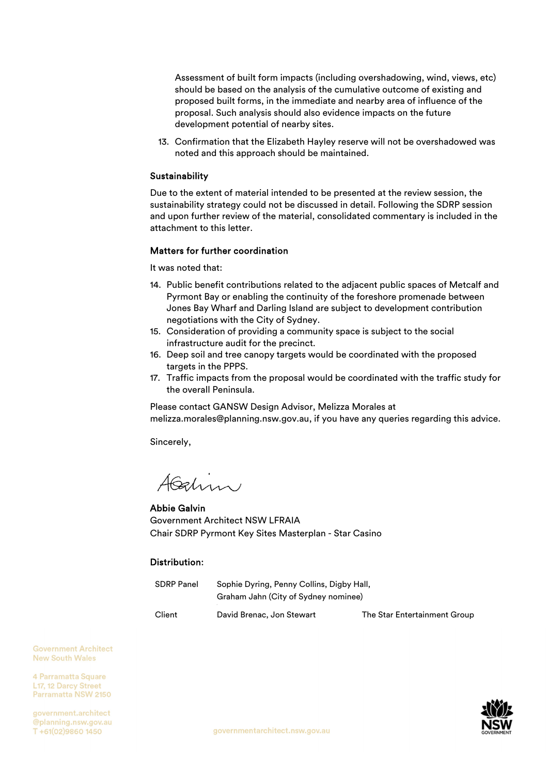Assessment of built form impacts (including overshadowing, wind, views, etc) should be based on the analysis of the cumulative outcome of existing and proposed built forms, in the immediate and nearby area of influence of the proposal. Such analysis should also evidence impacts on the future development potential of nearby sites.

13. Confirmation that the Elizabeth Hayley reserve will not be overshadowed was noted and this approach should be maintained.

## **Sustainability**

Due to the extent of material intended to be presented at the review session, the sustainability strategy could not be discussed in detail. Following the SDRP session and upon further review of the material, consolidated commentary is included in the attachment to this letter.

## Matters for further coordination

It was noted that:

- 14. Public benefit contributions related to the adjacent public spaces of Metcalf and Pyrmont Bay or enabling the continuity of the foreshore promenade between Jones Bay Wharf and Darling Island are subject to development contribution negotiations with the City of Sydney.
- 15. Consideration of providing a community space is subject to the social infrastructure audit for the precinct.
- 16. Deep soil and tree canopy targets would be coordinated with the proposed targets in the PPPS.
- 17. Traffic impacts from the proposal would be coordinated with the traffic study for the overall Peninsula.

Please contact GANSW Design Advisor, Melizza Morales at melizza.morales@planning.nsw.gov.au, if you have any queries regarding this advice.

Sincerely,

AGalin

Abbie Galvin Government Architect NSW LFRAIA Chair SDRP Pyrmont Key Sites Masterplan - Star Casino

## Distribution:

| SDRP Panel | Sophie Dyring, Penny Collins, Digby Hall, |                              |
|------------|-------------------------------------------|------------------------------|
|            | Graham Jahn (City of Sydney nominee)      |                              |
| Client     | David Brenac, Jon Stewart                 | The Star Entertainment Group |

**Government Architect New South Wales** 

4 Parramatta Square 117 12 Darcy Street Parramatta NSW 2150

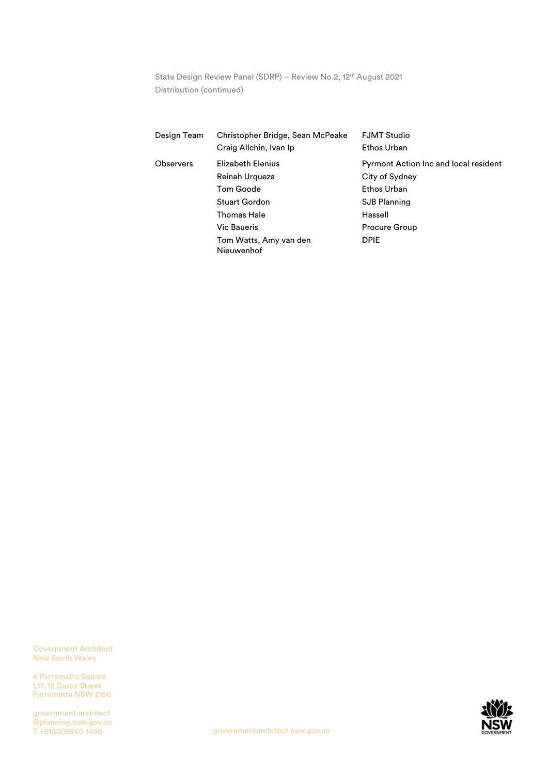State Design Review Panel (SDRP) - Review No.2, 12<sup>th</sup> August 2021 Distribution (continued)

| Design Team | Christopher Bridge, Sean McPeake<br>Craig Allchin, Ivan Ip                                                                                     | <b>FJMT Studio</b><br>Ethos Urban                                                                                                        |
|-------------|------------------------------------------------------------------------------------------------------------------------------------------------|------------------------------------------------------------------------------------------------------------------------------------------|
| Observers   | Elizabeth Elenius<br>Reinah Urqueza<br>Tom Goode<br>Stuart Gordon<br>Thomas Hale<br><b>Vic Baueris</b><br>Tom Watts, Amy van den<br>Nieuwenhof | Pyrmont Action Inc and local resident<br>City of Sydney<br>Ethos Urban<br><b>SJB Planning</b><br>Hassell<br>Procure Group<br><b>DPIE</b> |

**Government Architect New South Wales** 

4 Parramatta Square L<sub>17</sub>, 12 Darcy Street<br>Parramatta NSW 2150

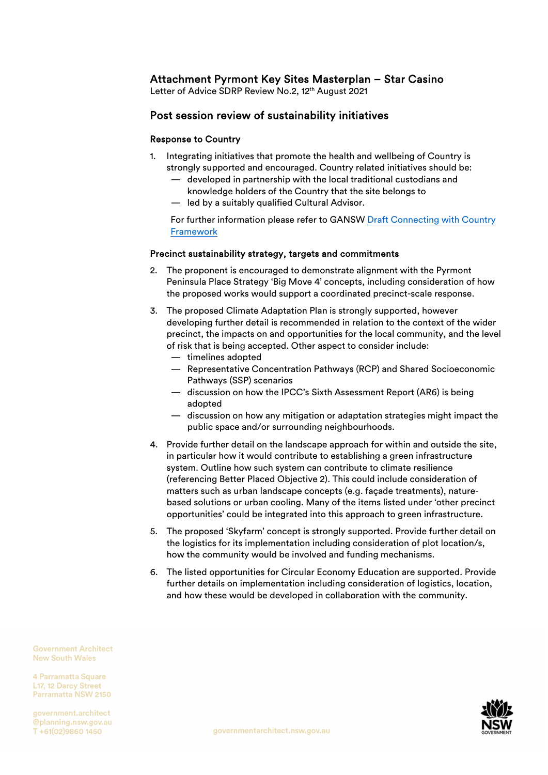# Attachment Pyrmont Key Sites Masterplan – Star Casino

Letter of Advice SDRP Review No.2, 12<sup>th</sup> August 2021

## Post session review of sustainability initiatives

## Response to Country

- 1. Integrating initiatives that promote the health and wellbeing of Country is strongly supported and encouraged. Country related initiatives should be:
	- developed in partnership with the local traditional custodians and knowledge holders of the Country that the site belongs to
	- led by a suitably qualified Cultural Advisor.

[For further information please refer to GANSW Draft Connecting with Country](https://www.governmentarchitect.nsw.gov.au/resources/ga/media/files/ga/discussion-papers/draft-connecting-with-country-framework-2020-11-12.pdf)  Framework

## Precinct sustainability strategy, targets and commitments

- 2. The proponent is encouraged to demonstrate alignment with the Pyrmont Peninsula Place Strategy 'Big Move 4' concepts, including consideration of how the proposed works would support a coordinated precinct-scale response.
- 3. The proposed Climate Adaptation Plan is strongly supported, however developing further detail is recommended in relation to the context of the wider precinct, the impacts on and opportunities for the local community, and the level of risk that is being accepted. Other aspect to consider include:
	- timelines adopted
	- Representative Concentration Pathways (RCP) and Shared Socioeconomic Pathways (SSP) scenarios
	- discussion on how the IPCC's Sixth Assessment Report (AR6) is being adopted
	- discussion on how any mitigation or adaptation strategies might impact the public space and/or surrounding neighbourhoods.
- 4. Provide further detail on the landscape approach for within and outside the site, in particular how it would contribute to establishing a green infrastructure system. Outline how such system can contribute to climate resilience (referencing Better Placed Objective 2). This could include consideration of matters such as urban landscape concepts (e.g. façade treatments), naturebased solutions or urban cooling. Many of the items listed under 'other precinct opportunities' could be integrated into this approach to green infrastructure.
- 5. The proposed 'Skyfarm' concept is strongly supported. Provide further detail on the logistics for its implementation including consideration of plot location/s, how the community would be involved and funding mechanisms.
- 6. The listed opportunities for Circular Economy Education are supported. Provide further details on implementation including consideration of logistics, location, and how these would be developed in collaboration with the community.

**Government Architect New South Wales** 

4 Parramatta Square 117 12 Darcy Street Parramatta NSW 2150